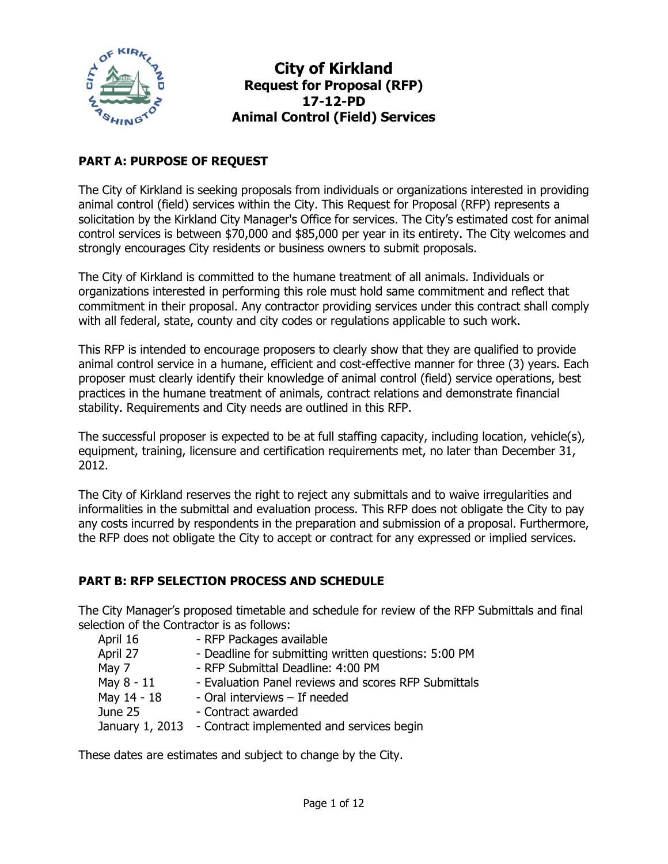

### **PART A: PURPOSE OF REQUEST**

The City of Kirkland is seeking proposals from individuals or organizations interested in providing animal control (field) services within the City. This Request for Proposal (RFP) represents a solicitation by the Kirkland City Manager's Office for services. The City's estimated cost for animal control services is between \$70,000 and \$85,000 per year in its entirety. The City welcomes and strongly encourages City residents or business owners to submit proposals.

The City of Kirkland is committed to the humane treatment of all animals. Individuals or organizations interested in performing this role must hold same commitment and reflect that commitment in their proposal. Any contractor providing services under this contract shall comply with all federal, state, county and city codes or regulations applicable to such work.

This RFP is intended to encourage proposers to clearly show that they are qualified to provide animal control service in a humane, efficient and cost-effective manner for three (3) years. Each proposer must clearly identify their knowledge of animal control (field) service operations, best practices in the humane treatment of animals, contract relations and demonstrate financial stability. Requirements and City needs are outlined in this RFP.

The successful proposer is expected to be at full staffing capacity, including location, vehicle(s), equipment, training, licensure and certification requirements met, no later than December 31, 2012.

The City of Kirkland reserves the right to reject any submittals and to waive irregularities and informalities in the submittal and evaluation process. This RFP does not obligate the City to pay any costs incurred by respondents in the preparation and submission of a proposal. Furthermore, the RFP does not obligate the City to accept or contract for any expressed or implied services.

#### **PART B: RFP SELECTION PROCESS AND SCHEDULE**

The City Manager's proposed timetable and schedule for review of the RFP Submittals and final selection of the Contractor is as follows:

| April 16    | - RFP Packages available                                  |
|-------------|-----------------------------------------------------------|
| April 27    | - Deadline for submitting written questions: 5:00 PM      |
| May 7       | - RFP Submittal Deadline: 4:00 PM                         |
| May 8 - 11  | - Evaluation Panel reviews and scores RFP Submittals      |
| May 14 - 18 | - Oral interviews - If needed                             |
| June 25     | - Contract awarded                                        |
|             | January 1, 2013 - Contract implemented and services begin |

These dates are estimates and subject to change by the City.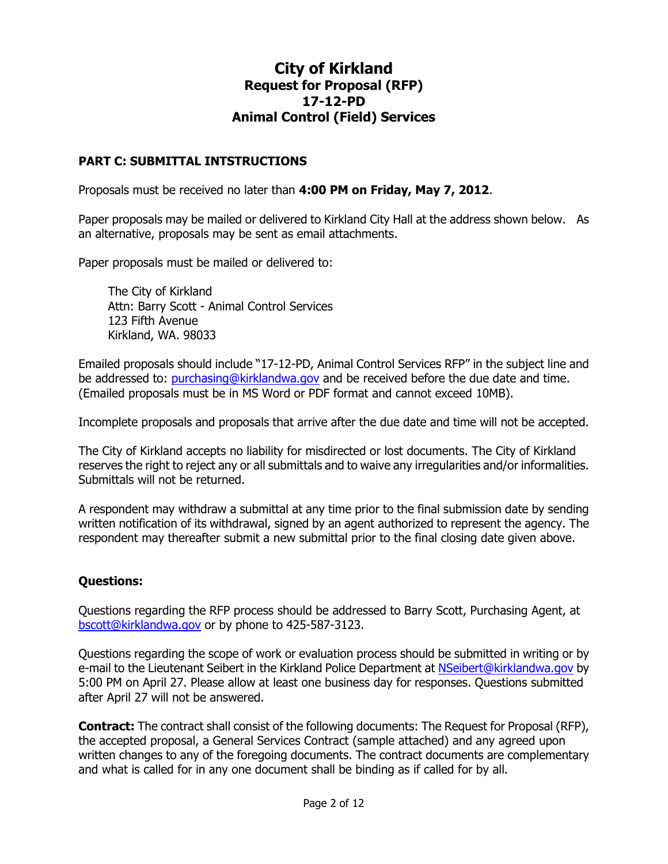#### **PART C: SUBMITTAL INTSTRUCTIONS**

Proposals must be received no later than **4:00 PM on Friday, May 7, 2012**.

Paper proposals may be mailed or delivered to Kirkland City Hall at the address shown below. As an alternative, proposals may be sent as email attachments.

Paper proposals must be mailed or delivered to:

The City of Kirkland Attn: Barry Scott - Animal Control Services 123 Fifth Avenue Kirkland, WA. 98033

Emailed proposals should include "17-12-PD, Animal Control Services RFP" in the subject line and be addressed to: [purchasing@kirklandwa.gov](mailto:purchasing@kirklandwa.gov) and be received before the due date and time. (Emailed proposals must be in MS Word or PDF format and cannot exceed 10MB).

Incomplete proposals and proposals that arrive after the due date and time will not be accepted.

The City of Kirkland accepts no liability for misdirected or lost documents. The City of Kirkland reserves the right to reject any or all submittals and to waive any irregularities and/or informalities. Submittals will not be returned.

A respondent may withdraw a submittal at any time prior to the final submission date by sending written notification of its withdrawal, signed by an agent authorized to represent the agency. The respondent may thereafter submit a new submittal prior to the final closing date given above.

#### **Questions:**

Questions regarding the RFP process should be addressed to Barry Scott, Purchasing Agent, at [bscott@kirklandwa.gov](mailto:bscott@kirklandwa.gov) or by phone to 425-587-3123.

Questions regarding the scope of work or evaluation process should be submitted in writing or by e-mail to the Lieutenant Seibert in the Kirkland Police Department at [NSeibert@kirklandwa.gov](mailto:NSeibert@kirklandwa.gov) by 5:00 PM on April 27. Please allow at least one business day for responses. Questions submitted after April 27 will not be answered.

**Contract:** The contract shall consist of the following documents: The Request for Proposal (RFP), the accepted proposal, a General Services Contract (sample attached) and any agreed upon written changes to any of the foregoing documents. The contract documents are complementary and what is called for in any one document shall be binding as if called for by all.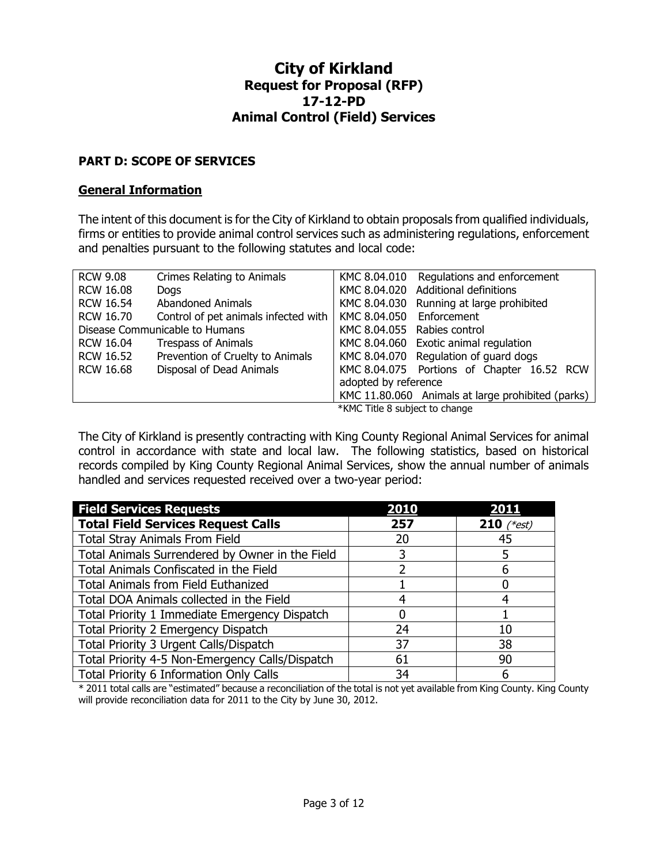#### **PART D: SCOPE OF SERVICES**

#### **General Information**

The intent of this document is for the City of Kirkland to obtain proposals from qualified individuals, firms or entities to provide animal control services such as administering regulations, enforcement and penalties pursuant to the following statutes and local code:

| <b>RCW 9.08</b>                | Crimes Relating to Animals           |                                | KMC 8.04.010 Regulations and enforcement          |  |
|--------------------------------|--------------------------------------|--------------------------------|---------------------------------------------------|--|
| <b>RCW 16.08</b>               | <b>Dogs</b>                          |                                | KMC 8.04.020 Additional definitions               |  |
| <b>RCW 16.54</b>               | <b>Abandoned Animals</b>             |                                | KMC 8.04.030 Running at large prohibited          |  |
| <b>RCW 16.70</b>               | Control of pet animals infected with | KMC 8.04.050                   | Enforcement                                       |  |
| Disease Communicable to Humans |                                      |                                | KMC 8.04.055 Rabies control                       |  |
| <b>RCW 16.04</b>               | <b>Trespass of Animals</b>           |                                | KMC 8.04.060 Exotic animal regulation             |  |
| <b>RCW 16.52</b>               | Prevention of Cruelty to Animals     |                                | KMC 8.04.070 Regulation of guard dogs             |  |
| <b>RCW 16.68</b>               | Disposal of Dead Animals             |                                | KMC 8.04.075 Portions of Chapter 16.52 RCW        |  |
|                                |                                      | adopted by reference           |                                                   |  |
|                                |                                      |                                | KMC 11.80.060 Animals at large prohibited (parks) |  |
|                                |                                      | *KMC Title 8 subject to change |                                                   |  |

The City of Kirkland is presently contracting with King County Regional Animal Services for animal control in accordance with state and local law. The following statistics, based on historical records compiled by King County Regional Animal Services, show the annual number of animals handled and services requested received over a two-year period:

| <b>Field Services Requests</b>                  | 2010 | 2011              |
|-------------------------------------------------|------|-------------------|
| <b>Total Field Services Request Calls</b>       | 257  | <b>210</b> (*est) |
| <b>Total Stray Animals From Field</b>           | 20   | 45                |
| Total Animals Surrendered by Owner in the Field |      |                   |
| Total Animals Confiscated in the Field          |      | 6                 |
| <b>Total Animals from Field Euthanized</b>      |      |                   |
| Total DOA Animals collected in the Field        |      |                   |
| Total Priority 1 Immediate Emergency Dispatch   |      |                   |
| Total Priority 2 Emergency Dispatch             | 24   | 10                |
| Total Priority 3 Urgent Calls/Dispatch          | 37   | 38                |
| Total Priority 4-5 Non-Emergency Calls/Dispatch | 61   | 90                |
| Total Priority 6 Information Only Calls         | 34   | 6                 |

\* 2011 total calls are "estimated" because a reconciliation of the total is not yet available from King County. King County will provide reconciliation data for 2011 to the City by June 30, 2012.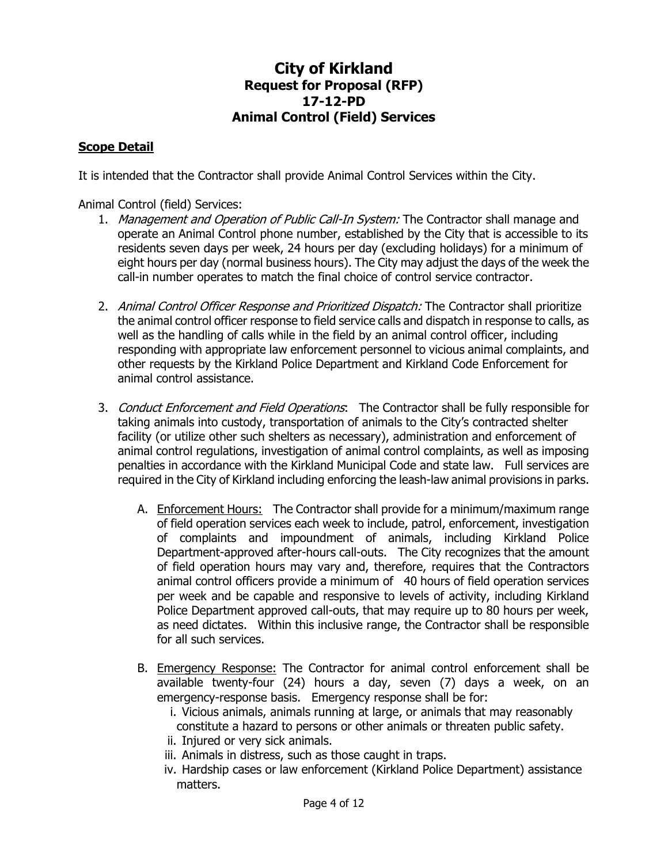#### **Scope Detail**

It is intended that the Contractor shall provide Animal Control Services within the City.

Animal Control (field) Services:

- 1. Management and Operation of Public Call-In System: The Contractor shall manage and operate an Animal Control phone number, established by the City that is accessible to its residents seven days per week, 24 hours per day (excluding holidays) for a minimum of eight hours per day (normal business hours). The City may adjust the days of the week the call-in number operates to match the final choice of control service contractor.
- 2. Animal Control Officer Response and Prioritized Dispatch: The Contractor shall prioritize the animal control officer response to field service calls and dispatch in response to calls, as well as the handling of calls while in the field by an animal control officer, including responding with appropriate law enforcement personnel to vicious animal complaints, and other requests by the Kirkland Police Department and Kirkland Code Enforcement for animal control assistance.
- 3. Conduct Enforcement and Field Operations: The Contractor shall be fully responsible for taking animals into custody, transportation of animals to the City's contracted shelter facility (or utilize other such shelters as necessary), administration and enforcement of animal control regulations, investigation of animal control complaints, as well as imposing penalties in accordance with the Kirkland Municipal Code and state law. Full services are required in the City of Kirkland including enforcing the leash-law animal provisions in parks.
	- A. Enforcement Hours: The Contractor shall provide for a minimum/maximum range of field operation services each week to include, patrol, enforcement, investigation of complaints and impoundment of animals, including Kirkland Police Department-approved after-hours call-outs. The City recognizes that the amount of field operation hours may vary and, therefore, requires that the Contractors animal control officers provide a minimum of 40 hours of field operation services per week and be capable and responsive to levels of activity, including Kirkland Police Department approved call-outs, that may require up to 80 hours per week, as need dictates. Within this inclusive range, the Contractor shall be responsible for all such services.
	- B. Emergency Response: The Contractor for animal control enforcement shall be available twenty-four (24) hours a day, seven (7) days a week, on an emergency-response basis. Emergency response shall be for:
		- i. Vicious animals, animals running at large, or animals that may reasonably constitute a hazard to persons or other animals or threaten public safety.
		- ii. Injured or very sick animals.
		- iii. Animals in distress, such as those caught in traps.
		- iv. Hardship cases or law enforcement (Kirkland Police Department) assistance matters.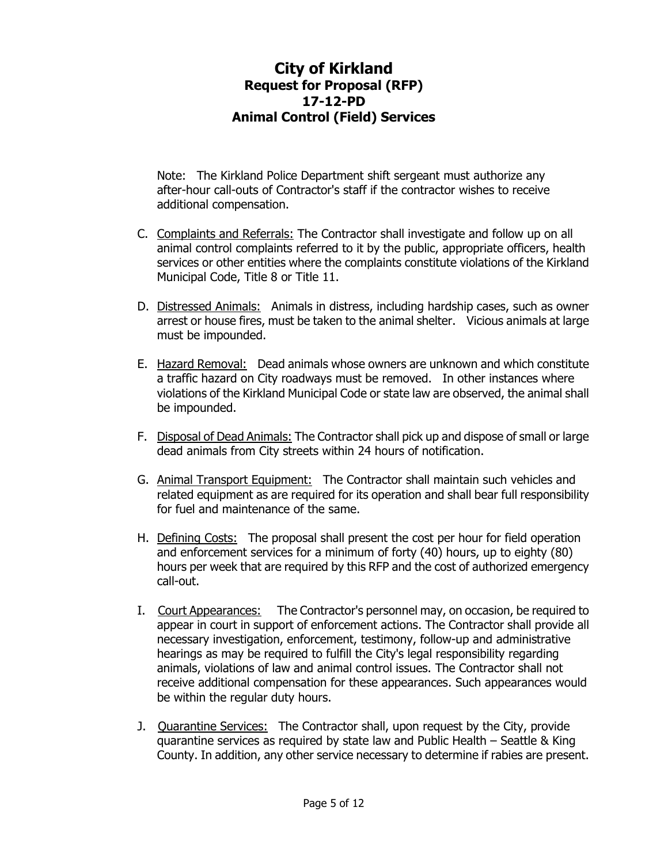Note: The Kirkland Police Department shift sergeant must authorize any after-hour call-outs of Contractor's staff if the contractor wishes to receive additional compensation.

- C. Complaints and Referrals: The Contractor shall investigate and follow up on all animal control complaints referred to it by the public, appropriate officers, health services or other entities where the complaints constitute violations of the Kirkland Municipal Code, Title 8 or Title 11.
- D. Distressed Animals: Animals in distress, including hardship cases, such as owner arrest or house fires, must be taken to the animal shelter. Vicious animals at large must be impounded.
- E. Hazard Removal: Dead animals whose owners are unknown and which constitute a traffic hazard on City roadways must be removed. In other instances where violations of the Kirkland Municipal Code or state law are observed, the animal shall be impounded.
- F. Disposal of Dead Animals: The Contractor shall pick up and dispose of small or large dead animals from City streets within 24 hours of notification.
- G. Animal Transport Equipment: The Contractor shall maintain such vehicles and related equipment as are required for its operation and shall bear full responsibility for fuel and maintenance of the same.
- H. Defining Costs: The proposal shall present the cost per hour for field operation and enforcement services for a minimum of forty (40) hours, up to eighty (80) hours per week that are required by this RFP and the cost of authorized emergency call-out.
- I. Court Appearances: The Contractor's personnel may, on occasion, be required to appear in court in support of enforcement actions. The Contractor shall provide all necessary investigation, enforcement, testimony, follow-up and administrative hearings as may be required to fulfill the City's legal responsibility regarding animals, violations of law and animal control issues. The Contractor shall not receive additional compensation for these appearances. Such appearances would be within the regular duty hours.
- J. Quarantine Services: The Contractor shall, upon request by the City, provide quarantine services as required by state law and Public Health – Seattle & King County. In addition, any other service necessary to determine if rabies are present.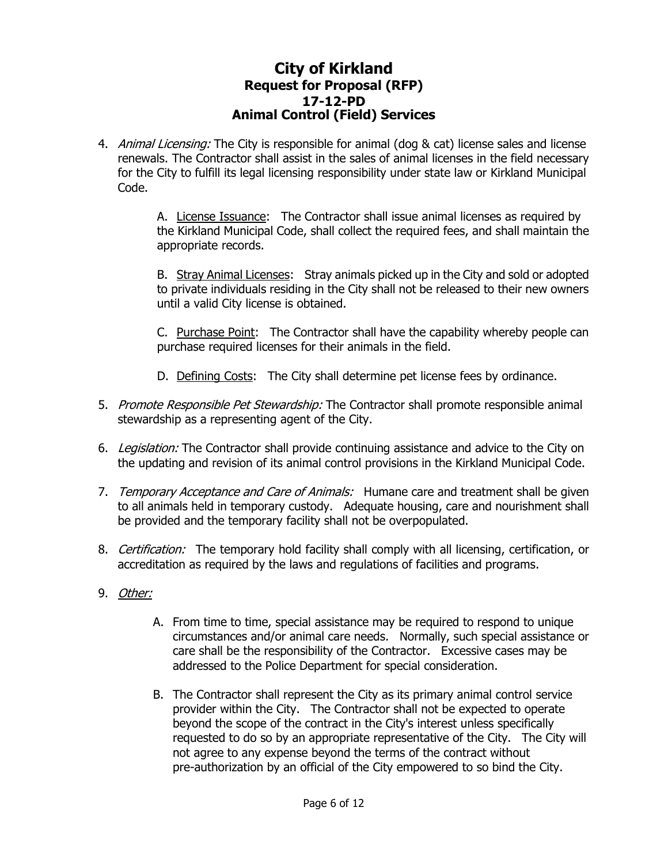4. Animal Licensing: The City is responsible for animal (dog & cat) license sales and license renewals. The Contractor shall assist in the sales of animal licenses in the field necessary for the City to fulfill its legal licensing responsibility under state law or Kirkland Municipal Code.

> A. License Issuance: The Contractor shall issue animal licenses as required by the Kirkland Municipal Code, shall collect the required fees, and shall maintain the appropriate records.

> B. Stray Animal Licenses: Stray animals picked up in the City and sold or adopted to private individuals residing in the City shall not be released to their new owners until a valid City license is obtained.

> C. Purchase Point: The Contractor shall have the capability whereby people can purchase required licenses for their animals in the field.

- D. Defining Costs: The City shall determine pet license fees by ordinance.
- 5. Promote Responsible Pet Stewardship: The Contractor shall promote responsible animal stewardship as a representing agent of the City.
- 6. Legislation: The Contractor shall provide continuing assistance and advice to the City on the updating and revision of its animal control provisions in the Kirkland Municipal Code.
- 7. Temporary Acceptance and Care of Animals: Humane care and treatment shall be given to all animals held in temporary custody. Adequate housing, care and nourishment shall be provided and the temporary facility shall not be overpopulated.
- 8. Certification: The temporary hold facility shall comply with all licensing, certification, or accreditation as required by the laws and regulations of facilities and programs.
- 9. Other:
	- A. From time to time, special assistance may be required to respond to unique circumstances and/or animal care needs. Normally, such special assistance or care shall be the responsibility of the Contractor. Excessive cases may be addressed to the Police Department for special consideration.
	- B. The Contractor shall represent the City as its primary animal control service provider within the City. The Contractor shall not be expected to operate beyond the scope of the contract in the City's interest unless specifically requested to do so by an appropriate representative of the City. The City will not agree to any expense beyond the terms of the contract without pre-authorization by an official of the City empowered to so bind the City.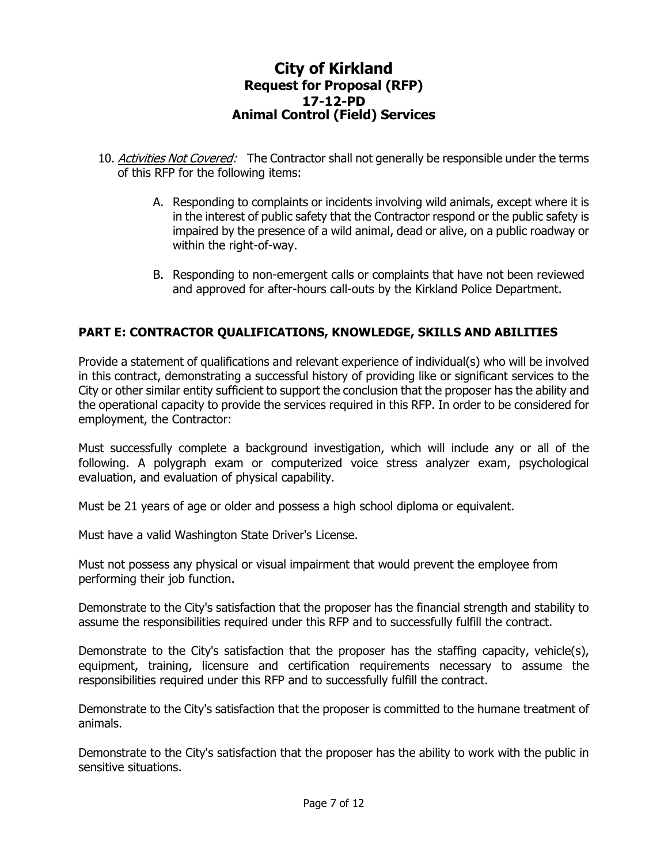- 10. Activities Not Covered: The Contractor shall not generally be responsible under the terms of this RFP for the following items:
	- A. Responding to complaints or incidents involving wild animals, except where it is in the interest of public safety that the Contractor respond or the public safety is impaired by the presence of a wild animal, dead or alive, on a public roadway or within the right-of-way.
	- B. Responding to non-emergent calls or complaints that have not been reviewed and approved for after-hours call-outs by the Kirkland Police Department.

## **PART E: CONTRACTOR QUALIFICATIONS, KNOWLEDGE, SKILLS AND ABILITIES**

Provide a statement of qualifications and relevant experience of individual(s) who will be involved in this contract, demonstrating a successful history of providing like or significant services to the City or other similar entity sufficient to support the conclusion that the proposer has the ability and the operational capacity to provide the services required in this RFP. In order to be considered for employment, the Contractor:

Must successfully complete a background investigation, which will include any or all of the following. A polygraph exam or computerized voice stress analyzer exam, psychological evaluation, and evaluation of physical capability.

Must be 21 years of age or older and possess a high school diploma or equivalent.

Must have a valid Washington State Driver's License.

Must not possess any physical or visual impairment that would prevent the employee from performing their job function.

Demonstrate to the City's satisfaction that the proposer has the financial strength and stability to assume the responsibilities required under this RFP and to successfully fulfill the contract.

Demonstrate to the City's satisfaction that the proposer has the staffing capacity, vehicle(s), equipment, training, licensure and certification requirements necessary to assume the responsibilities required under this RFP and to successfully fulfill the contract.

Demonstrate to the City's satisfaction that the proposer is committed to the humane treatment of animals.

Demonstrate to the City's satisfaction that the proposer has the ability to work with the public in sensitive situations.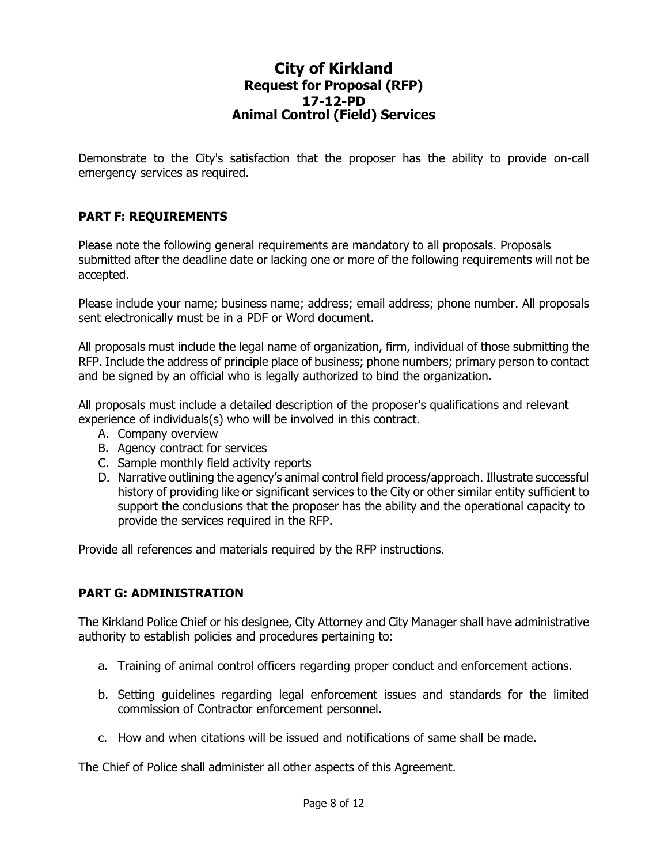Demonstrate to the City's satisfaction that the proposer has the ability to provide on-call emergency services as required.

### **PART F: REQUIREMENTS**

Please note the following general requirements are mandatory to all proposals. Proposals submitted after the deadline date or lacking one or more of the following requirements will not be accepted.

Please include your name; business name; address; email address; phone number. All proposals sent electronically must be in a PDF or Word document.

All proposals must include the legal name of organization, firm, individual of those submitting the RFP. Include the address of principle place of business; phone numbers; primary person to contact and be signed by an official who is legally authorized to bind the organization.

All proposals must include a detailed description of the proposer's qualifications and relevant experience of individuals(s) who will be involved in this contract.

- A. Company overview
- B. Agency contract for services
- C. Sample monthly field activity reports
- D. Narrative outlining the agency's animal control field process/approach. Illustrate successful history of providing like or significant services to the City or other similar entity sufficient to support the conclusions that the proposer has the ability and the operational capacity to provide the services required in the RFP.

Provide all references and materials required by the RFP instructions.

#### **PART G: ADMINISTRATION**

The Kirkland Police Chief or his designee, City Attorney and City Manager shall have administrative authority to establish policies and procedures pertaining to:

- a. Training of animal control officers regarding proper conduct and enforcement actions.
- b. Setting guidelines regarding legal enforcement issues and standards for the limited commission of Contractor enforcement personnel.
- c. How and when citations will be issued and notifications of same shall be made.

The Chief of Police shall administer all other aspects of this Agreement.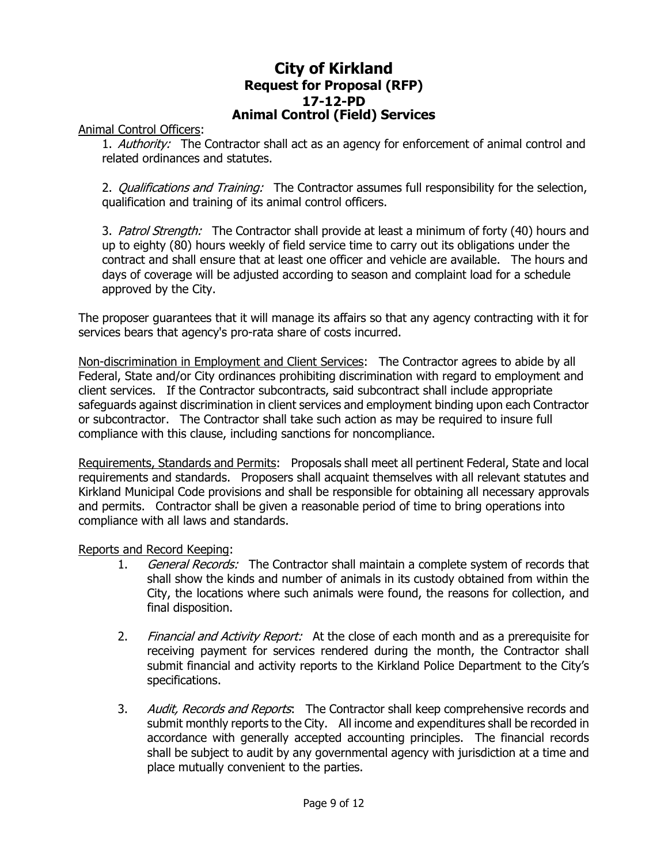Animal Control Officers:

1. Authority: The Contractor shall act as an agency for enforcement of animal control and related ordinances and statutes.

2. *Qualifications and Training:* The Contractor assumes full responsibility for the selection, qualification and training of its animal control officers.

3. Patrol Strength: The Contractor shall provide at least a minimum of forty (40) hours and up to eighty (80) hours weekly of field service time to carry out its obligations under the contract and shall ensure that at least one officer and vehicle are available. The hours and days of coverage will be adjusted according to season and complaint load for a schedule approved by the City.

The proposer guarantees that it will manage its affairs so that any agency contracting with it for services bears that agency's pro-rata share of costs incurred.

Non-discrimination in Employment and Client Services: The Contractor agrees to abide by all Federal, State and/or City ordinances prohibiting discrimination with regard to employment and client services. If the Contractor subcontracts, said subcontract shall include appropriate safeguards against discrimination in client services and employment binding upon each Contractor or subcontractor. The Contractor shall take such action as may be required to insure full compliance with this clause, including sanctions for noncompliance.

Requirements, Standards and Permits: Proposals shall meet all pertinent Federal, State and local requirements and standards. Proposers shall acquaint themselves with all relevant statutes and Kirkland Municipal Code provisions and shall be responsible for obtaining all necessary approvals and permits. Contractor shall be given a reasonable period of time to bring operations into compliance with all laws and standards.

Reports and Record Keeping:

- 1. General Records: The Contractor shall maintain a complete system of records that shall show the kinds and number of animals in its custody obtained from within the City, the locations where such animals were found, the reasons for collection, and final disposition.
- 2. Financial and Activity Report: At the close of each month and as a prerequisite for receiving payment for services rendered during the month, the Contractor shall submit financial and activity reports to the Kirkland Police Department to the City's specifications.
- 3. Audit, Records and Reports: The Contractor shall keep comprehensive records and submit monthly reports to the City. All income and expenditures shall be recorded in accordance with generally accepted accounting principles. The financial records shall be subject to audit by any governmental agency with jurisdiction at a time and place mutually convenient to the parties.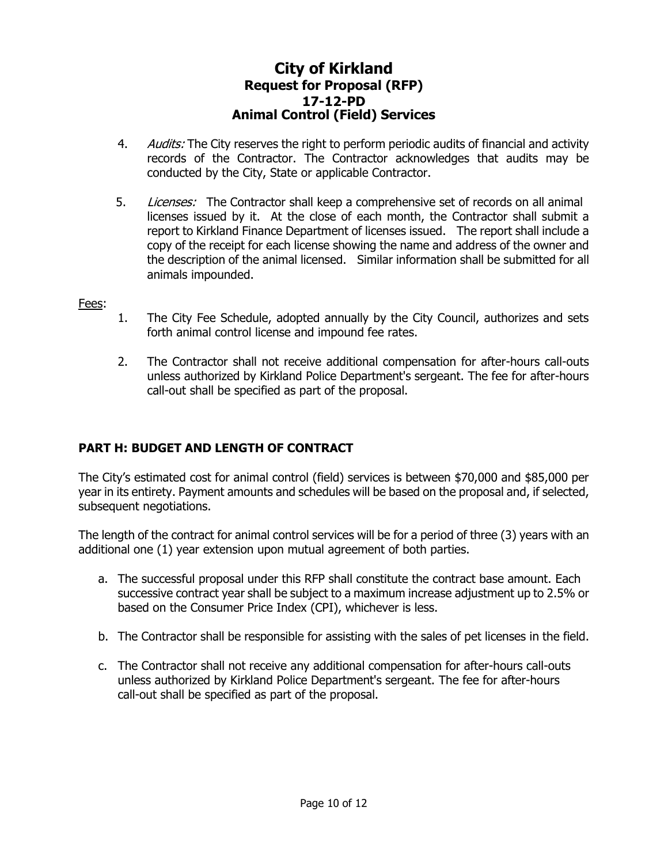- 4. Audits: The City reserves the right to perform periodic audits of financial and activity records of the Contractor. The Contractor acknowledges that audits may be conducted by the City, State or applicable Contractor.
- 5. Licenses: The Contractor shall keep a comprehensive set of records on all animal licenses issued by it. At the close of each month, the Contractor shall submit a report to Kirkland Finance Department of licenses issued. The report shall include a copy of the receipt for each license showing the name and address of the owner and the description of the animal licensed. Similar information shall be submitted for all animals impounded.

#### Fees:

- 1. The City Fee Schedule, adopted annually by the City Council, authorizes and sets forth animal control license and impound fee rates.
- 2. The Contractor shall not receive additional compensation for after-hours call-outs unless authorized by Kirkland Police Department's sergeant. The fee for after-hours call-out shall be specified as part of the proposal.

#### **PART H: BUDGET AND LENGTH OF CONTRACT**

The City's estimated cost for animal control (field) services is between \$70,000 and \$85,000 per year in its entirety. Payment amounts and schedules will be based on the proposal and, if selected, subsequent negotiations.

The length of the contract for animal control services will be for a period of three (3) years with an additional one (1) year extension upon mutual agreement of both parties.

- a. The successful proposal under this RFP shall constitute the contract base amount. Each successive contract year shall be subject to a maximum increase adjustment up to 2.5% or based on the Consumer Price Index (CPI), whichever is less.
- b. The Contractor shall be responsible for assisting with the sales of pet licenses in the field.
- c. The Contractor shall not receive any additional compensation for after-hours call-outs unless authorized by Kirkland Police Department's sergeant. The fee for after-hours call-out shall be specified as part of the proposal.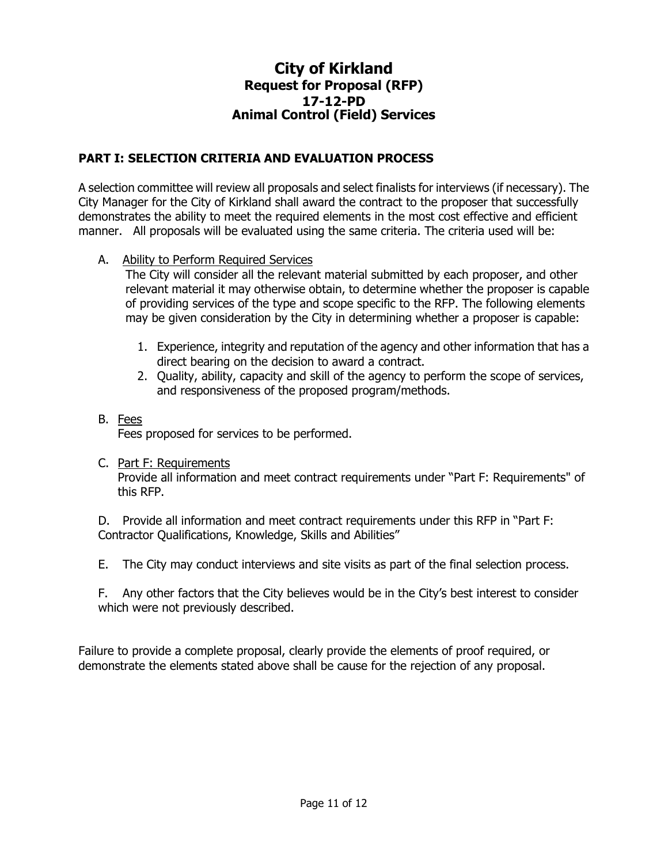#### **PART I: SELECTION CRITERIA AND EVALUATION PROCESS**

A selection committee will review all proposals and select finalists for interviews (if necessary). The City Manager for the City of Kirkland shall award the contract to the proposer that successfully demonstrates the ability to meet the required elements in the most cost effective and efficient manner. All proposals will be evaluated using the same criteria. The criteria used will be:

A. Ability to Perform Required Services

The City will consider all the relevant material submitted by each proposer, and other relevant material it may otherwise obtain, to determine whether the proposer is capable of providing services of the type and scope specific to the RFP. The following elements may be given consideration by the City in determining whether a proposer is capable:

- 1. Experience, integrity and reputation of the agency and other information that has a direct bearing on the decision to award a contract.
- 2. Quality, ability, capacity and skill of the agency to perform the scope of services, and responsiveness of the proposed program/methods.

### B. Fees

Fees proposed for services to be performed.

C. Part F: Requirements

Provide all information and meet contract requirements under "Part F: Requirements" of this RFP.

D. Provide all information and meet contract requirements under this RFP in "Part F: Contractor Qualifications, Knowledge, Skills and Abilities"

E. The City may conduct interviews and site visits as part of the final selection process.

F. Any other factors that the City believes would be in the City's best interest to consider which were not previously described.

Failure to provide a complete proposal, clearly provide the elements of proof required, or demonstrate the elements stated above shall be cause for the rejection of any proposal.